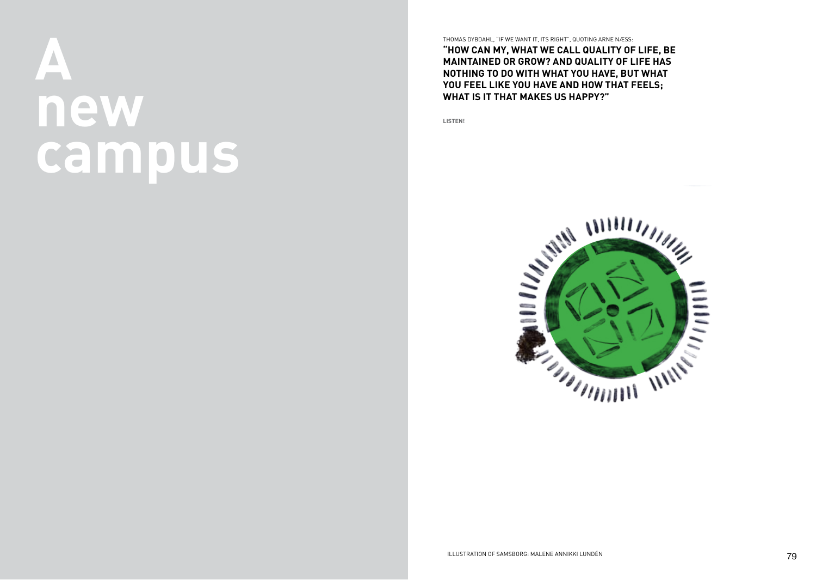# $\triangle$ new campus

THOMAS DYBDAHL, "IF WE WANT IT, ITS RIGHT", QUOTING ARNE NÆSS:

"HOW CAN MY, WHAT WE CALL QUALITY OF LIFE, BE MAINTAINED OR GROW? AND QUALITY OF LIFE HAS NOTHING TO DO WITH WHAT YOU HAVE. BUT WHAT YOU FEEL LIKE YOU HAVE AND HOW THAT FEELS; **WHAT IS IT THAT MAKES US HAPPY?"** 

LISTEN!

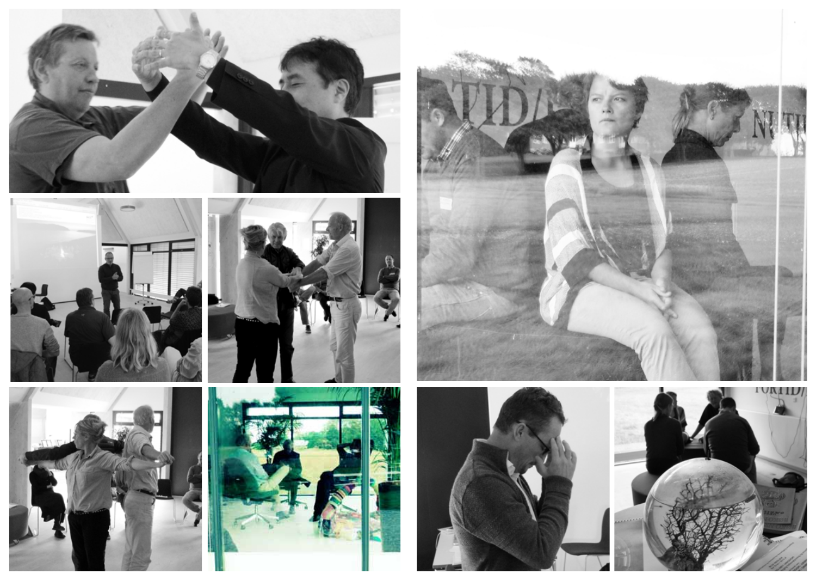











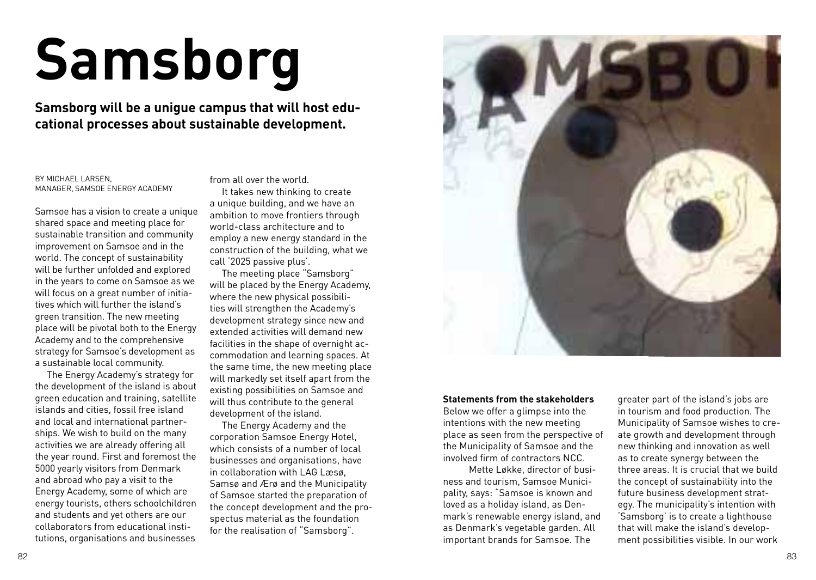# **Samsborg**

**Samsborg will be a unigue campus that will host educational processes about sustainable development.** 

#### By Michael Larsen, manager, Samsoe Energy Academy

Samsoe has a vision to create a unique shared space and meeting place for sustainable transition and community improvement on Samsoe and in the world. The concept of sustainability will be further unfolded and explored in the years to come on Samsoe as we will focus on a great number of initiatives which will further the island's green transition. The new meeting place will be pivotal both to the Energy Academy and to the comprehensive strategy for Samsoe's development as a sustainable local community.

 The Energy Academy's strategy for the development of the island is about green education and training, satellite islands and cities, fossil free island and local and international partnerships. We wish to build on the many activities we are already offering all the year round. First and foremost the 5000 yearly visitors from Denmark and abroad who pay a visit to the Energy Academy, some of which are energy tourists, others schoolchildren and students and yet others are our collaborators from educational institutions, organisations and businesses

from all over the world.

 It takes new thinking to create a unique building, and we have an ambition to move frontiers through world-class architecture and to employ a new energy standard in the construction of the building, what we call '2025 passive plus'.

 The meeting place "Samsborg" will be placed by the Energy Academy. where the new physical possibilities will strengthen the Academy's development strategy since new and extended activities will demand new facilities in the shape of overnight accommodation and learning spaces. At the same time, the new meeting place will markedly set itself apart from the existing possibilities on Samsoe and will thus contribute to the general development of the island.

 The Energy Academy and the corporation Samsoe Energy Hotel, which consists of a number of local businesses and organisations, have in collaboration with LAG Læsø, Samsø and Ærø and the Municipality of Samsoe started the preparation of the concept development and the prospectus material as the foundation for the realisation of "Samsborg".



#### **Statements from the stakeholders**

Below we offer a glimpse into the intentions with the new meeting place as seen from the perspective of the Municipality of Samsoe and the involved firm of contractors NCC.

 Mette Løkke, director of business and tourism, Samsoe Municipality, says: "Samsoe is known and loved as a holiday island, as Denmark's renewable energy island, and as Denmark's vegetable garden. All important brands for Samsoe. The

greater part of the island's jobs are in tourism and food production. The Municipality of Samsoe wishes to create growth and development through new thinking and innovation as well as to create synergy between the three areas. It is crucial that we build the concept of sustainability into the future business development strategy. The municipality's intention with 'Samsborg' is to create a lighthouse that will make the island's development possibilities visible. In our work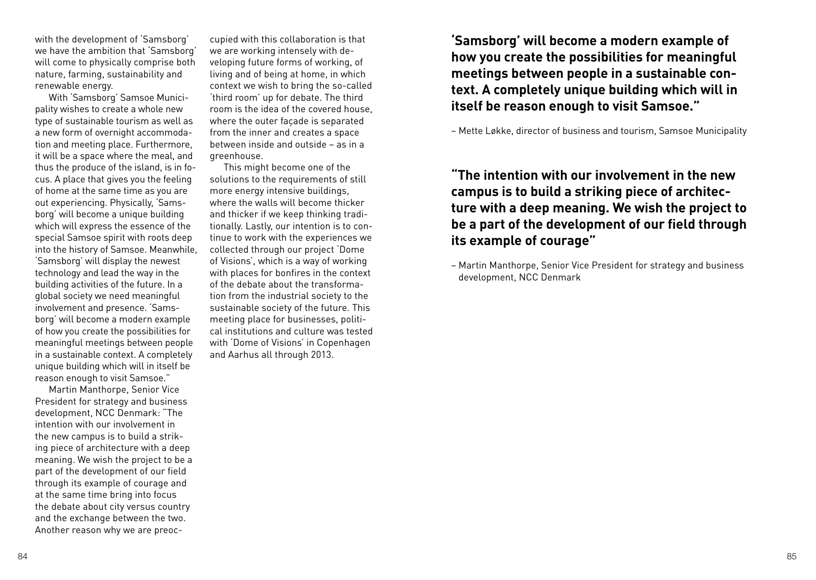with the development of 'Samsborg' we have the ambition that 'Samsborg' will come to physically comprise both nature, farming, sustainability and renewable energy.

 With 'Samsborg' Samsoe Municipality wishes to create a whole new type of sustainable tourism as well as a new form of overnight accommodation and meeting place. Furthermore, it will be a space where the meal, and thus the produce of the island, is in focus. A place that gives you the feeling of home at the same time as you are out experiencing. Physically, 'Samsborg' will become a unique building which will express the essence of the special Samsoe spirit with roots deep into the history of Samsoe. Meanwhile, 'Samsborg' will display the newest technology and lead the way in the building activities of the future. In a global society we need meaningful involvement and presence. 'Samsborg' will become a modern example of how you create the possibilities for meaningful meetings between people in a sustainable context. A completely unique building which will in itself be reason enough to visit Samsoe."

 Martin Manthorpe, Senior Vice President for strategy and business development, NCC Denmark: "The intention with our involvement in the new campus is to build a striking piece of architecture with a deep meaning. We wish the project to be a part of the development of our field through its example of courage and at the same time bring into focus the debate about city versus country and the exchange between the two. Another reason why we are preoc-

cupied with this collaboration is that we are working intensely with developing future forms of working, of living and of being at home, in which context we wish to bring the so-called 'third room' up for debate. The third room is the idea of the covered house, where the outer façade is separated from the inner and creates a space between inside and outside – as in a greenhouse.

 This might become one of the solutions to the requirements of still more energy intensive buildings, where the walls will become thicker and thicker if we keep thinking traditionally. Lastly, our intention is to continue to work with the experiences we collected through our project 'Dome of Visions', which is a way of working with places for bonfires in the context of the debate about the transformation from the industrial society to the sustainable society of the future. This meeting place for businesses, political institutions and culture was tested with 'Dome of Visions' in Copenhagen and Aarhus all through 2013.

**'Samsborg' will become a modern example of how you create the possibilities for meaningful meetings between people in a sustainable context. A completely unique building which will in itself be reason enough to visit Samsoe."**

– Mette Løkke, director of business and tourism, Samsoe Municipality

**"The intention with our involvement in the new campus is to build a striking piece of architecture with a deep meaning. We wish the project to be a part of the development of our field through its example of courage"**

– Martin Manthorpe, Senior Vice President for strategy and business development, NCC Denmark